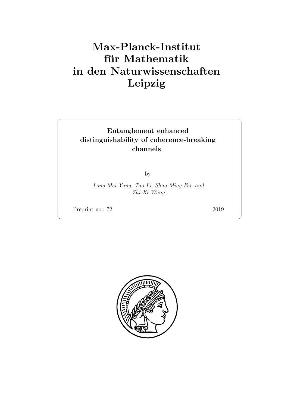## Max-Planck-Institut für Mathematik in den Naturwissenschaften Leipzig

## Entanglement enhanced distinguishability of coherence-breaking channels

by

Long-Mei Yang, Tao Li, Shao-Ming Fei, and Zhi-Xi Wang

Preprint no.: 72 2019

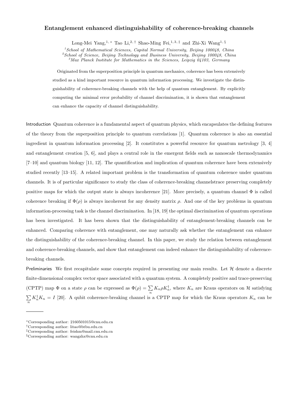## **Entanglement enhanced distinguishability of coherence-breaking channels**

Long-Mei Yang,<sup>1, \*</sup> Tao Li,<sup>2,†</sup> Shao-Ming Fei,<sup>1,3,‡</sup> and Zhi-Xi Wang<sup>1,§</sup>

*<sup>1</sup>School of Mathematical Sciences, Capital Normal University, Beijing 100048, China*

*<sup>2</sup>School of Science, Beijing Technology and Business University, Beijing 100048, China*

*<sup>3</sup>Max Planck Institute for Mathematics in the Sciences, Leipzig 04103, Germany*

Originated from the superposition principle in quantum mechanics, coherence has been extensively studied as a kind important resource in quantum information processing. We investigate the distinguishability of coherence-breaking channels with the help of quantum entanglement. By explicitly computing the minimal error probability of channel discrimination, it is shown that entanglement can enhance the capacity of channel distinguishability.

Introduction Quantum coherence is a fundamental aspect of quantum physics, which encapsulates the defining features of the theory from the superposition principle to quantum correlations [1]. Quantum coherence is also an essential ingredient in quantum information processing [2]. It constitutes a powerful resource for quantum metrology [3, 4] and entanglement creation [5, 6], and plays a central role in the emergent fields such as nanoscale thermodynamics [7–10] and quantum biology [11, 12]. The quantification and implication of quantum coherence have been extensively studied recently [13–15]. A related important problem is the transformation of quantum coherence under quantum channels. It is of particular significance to study the class of coherence-breaking channelstrace preserving completely positive maps for which the output state is always incoherence [21]. More precisely, a quantum channel  $\Phi$  is called coherence breaking if  $\Phi(\rho)$  is always incoherent for any density matrix  $\rho$ . And one of the key problems in quantum information-processing task is the channel discrimination. In [18, 19] the optimal discrimination of quantum operations has been investigated. It has been shown that the distinguishability of entanglement-breaking channels can be enhanced. Comparing coherence with entanglement, one may naturally ask whether the entanglement can enhance the distinguishability of the coherence-breaking channel. In this paper, we study the relation between entanglement and coherence-breaking channels, and show that entanglement can indeed enhance the distinguishability of coherencebreaking channels.

Preliminaries We first recapitulate some concepts required in presenting our main results. Let *H* denote a discrete finite-dimensional complex vector space associated with a quantum system. A completely positive and trace-preserving (CPTP) map  $\Phi$  on a state  $\rho$  can be expressed as  $\Phi(\rho) = \sum_{n} K_n \rho K_n^{\dagger}$ , where  $K_n$  are Kraus operators on  $\mathcal H$  satisfying  $\sum_{n} K_n^{\dagger} K_n = I$  [20]. A qubit coherence-breaking channel is a CPTP map for which the Kraus operators  $K_n$  can be

*<sup>∗</sup>*Corresponding author: 2160501015@cnu.edu.cn

*<sup>†</sup>*Corresponding author: litao@btbu.edu.cn

*<sup>‡</sup>*Corresponding author: feishm@mail.cnu.edu.cn

*<sup>§</sup>*Corresponding author: wangzhx@cnu.edu.cn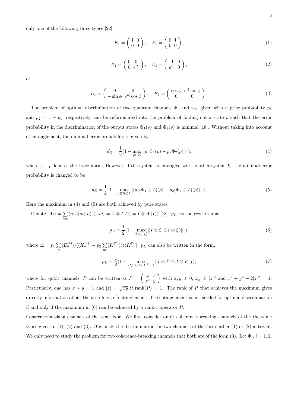only one of the following three types [22]:

$$
E_1 = \begin{pmatrix} 1 & 0 \\ 0 & 0 \end{pmatrix}, \quad E_2 = \begin{pmatrix} 0 & 1 \\ 0 & 0 \end{pmatrix}, \tag{1}
$$

$$
E_1 = \begin{pmatrix} 0 & 0 \\ 0 & e^{i\xi} \end{pmatrix}, \quad E_2 = \begin{pmatrix} 0 & 0 \\ e^{i\xi} & 0 \end{pmatrix}, \tag{2}
$$

or

$$
E_1 = \begin{pmatrix} 0 & 0 \\ -\sin\phi & e^{i\xi}\cos\phi \end{pmatrix}, \quad E_2 = \begin{pmatrix} \cos\phi & e^{i\xi}\sin\phi \\ 0 & 0 \end{pmatrix}.
$$
 (3)

The problem of optimal discrimination of two quantum channels  $\Phi_1$  and  $\Phi_2$ , given with a prior probability  $p_1$ and  $p_2 = 1 - p_1$ , respectively, can be reformulated into the problem of finding out a state  $\rho$  such that the error probability in the discrimination of the output states  $\Phi_1(\rho)$  and  $\Phi_2(\rho)$  is minimal [18]. Without taking into account of entanglement, the minimal error probability is given by

$$
p'_E = \frac{1}{2}(1 - \max_{\rho \in \mathcal{H}} \|p_1 \Phi_1(\rho) - p_2 \Phi_2(\rho)\|_1),\tag{4}
$$

where *∥ · ∥*<sup>1</sup> denotes the trace norm. However, if the system is entangled with another system *K*, the minimal error probability is changed to be

$$
p_E = \frac{1}{2} \left( 1 - \max_{\rho \in \mathcal{H} \otimes \mathcal{K}} \| p_1(\Phi_1 \otimes \mathcal{I})(\rho) - p_2(\Phi_2 \otimes \mathcal{I})(\rho) \|_1 \right).
$$
 (5)

Here the maximum in (4) and (5) are both achieved by pure states.

Denote  $|A\rangle\rangle = \sum_{mn} \langle n|A|m\rangle|n\rangle \otimes |m\rangle = A \otimes I|I\rangle\rangle = I \otimes A^t|I\rangle\rangle$  [18].  $p_E$  can be rewritten as,

$$
p_E = \frac{1}{2} (1 - \max_{\text{Tr}[\zeta^\dagger \zeta]} \|I \otimes \zeta^\dagger \Delta I \otimes \zeta^* \|_1),\tag{6}
$$

where  $\Delta = p_1 \sum_n |E_n^{(1)}\rangle\rangle\langle\langle K_n^{(1)}| - p_2 \sum_m |K_m^{(2)}\rangle\rangle\langle\langle K_m^{(2)}|$ .  $p_E$  can also be written in the form,

$$
p_E = \frac{1}{2} (1 - \max_{P \geq 0, \text{ Tr}[P^2] = 1} ||I \otimes P \triangle I \otimes P||_1),
$$
\n(7)

where for qubit channels, *P* can be written as  $P = \begin{pmatrix} x & z \\ z^* & z \end{pmatrix}$ *z <sup>∗</sup> y*  $\int$  with  $x, y \ge 0$ ,  $xy \ge |z|^2$  and  $x^2 + y^2 + 2|z|^2 = 1$ . Particularly, one has  $x + y = 1$  and  $|z| = \sqrt{xy}$  if rank $(P) = 1$ . The rank of P that achieves the maximum gives directly information about the usefulness of entanglement. The entanglement is not needed for optimal discrimination if and only if the maximum in (6) can be achieved by a rank-1 operator *P*.

Coherence-breaking channels of the same type We first consider qubit coherence-breaking channels of the the same types given in (1), (2) and (3). Obviously the discrimination for two channels of the form either (1) or (2) is trivial. We only need to study the problem for two coherence-breaking channels that both are of the form  $(3)$ . Let  $\Phi_i$ ,  $i = 1, 2$ ,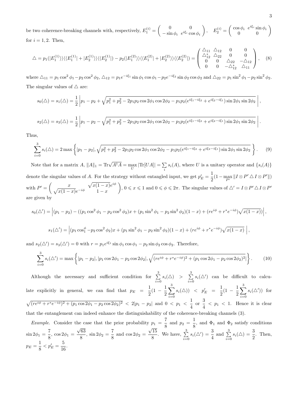be two coherence-breaking channels with, respectively,  $E_1^{(i)} = \begin{pmatrix} 0 & 0 \\ -\sin \phi & e^{i\xi_i} \end{pmatrix}$  $-\sin \phi_i$  *e*<sup>*i*ξ*i*</sup> cos  $\phi_i$  $\left\langle \right\rangle$ ,  $E_2^{(i)} = \begin{pmatrix} \cos \phi_i & e^{i\xi_i} \sin \phi_i \\ 0 & 0 \end{pmatrix}$ 0 0  $\setminus$ for  $i = 1, 2$ . Then,

$$
\Delta = p_1(|E_1^{(1)}\rangle)\langle\langle E_1^{(1)}| + |E_2^{(1)}\rangle\rangle\langle\langle E_2^{(1)}| \rangle - p_2(|E_1^{(2)}\rangle)\langle\langle E_1^{(2)}| + |E_2^{(2)}\rangle\rangle\langle\langle E_2^{(2)}| \rangle = \begin{pmatrix} \Delta_{11} & \Delta_{12} & 0 & 0\\ \Delta_{12}^* & \Delta_{22} & 0 & 0\\ 0 & 0 & \Delta_{22} & -\Delta_{12}\\ 0 & 0 & -\Delta_{12}^* & \Delta_{11} \end{pmatrix}, \quad (8)
$$

where  $\Delta_{11} = p_1 \cos^2 \phi_1 - p_2 \cos^2 \phi_2$ ,  $\Delta_{12} = p_1 e^{-i\xi_1} \sin \phi_1 \cos \phi_1 - p_2 e^{-i\xi_2} \sin \phi_2 \cos \phi_2$  and  $\Delta_{22} = p_1 \sin^2 \phi_1 - p_2 \sin^2 \phi_2$ . The singular values of *△* are:

$$
s_0(\triangle) = s_1(\triangle) = \frac{1}{2} \left| p_1 - p_2 + \sqrt{p_1^2 + p_2^2 - 2p_1p_2 \cos 2\phi_1 \cos 2\phi_2 - p_1p_2(e^{i\xi_1 - i\xi_2} + e^{i\xi_2 - i\xi_1}) \sin 2\phi_1 \sin 2\phi_2} \right|
$$
  

$$
s_2(\triangle) = s_3(\triangle) = \frac{1}{2} \left| p_1 - p_2 - \sqrt{p_1^2 + p_2^2 - 2p_1p_2 \cos 2\phi_1 \cos 2\phi_2 - p_1p_2(e^{i\xi_1 - i\xi_2} + e^{i\xi_2 - i\xi_1}) \sin 2\phi_1 \sin 2\phi_2} \right|
$$

Thus,

$$
\sum_{i=0}^{3} s_i(\triangle) = 2 \max \left\{ |p_1 - p_2|, \sqrt{p_1^2 + p_2^2 - 2p_1 p_2 \cos 2\phi_1 \cos 2\phi_2 - p_1 p_2 (e^{i\xi_1 - i\xi_2} + e^{i\xi_2 - i\xi_1}) \sin 2\phi_1 \sin 2\phi_2} \right\}.
$$
 (9)

Note that for a matrix  $A$ ,  $||A||_1 = \text{Tr}\sqrt{A^{\dagger}A} = \max_{U} |\text{Tr}[UA]| = \sum_{i} s_i(A)$ , where U is a unitary operator and  $\{s_i(A)\}$ denote the singular values of *A*. For the strategy without entangled input, we get  $p'_{E} = \frac{1}{2}$  $\frac{1}{2}(1 - \max_{P'} ||I \otimes P' \triangle I \otimes P'||)$ with  $P' = \begin{pmatrix} x \\ \sqrt{1-x^2} & -i\phi \end{pmatrix} \frac{\sqrt{x(1-x)}e^{i\phi}}{1-x^2}$  $\sqrt{x(1-x)}e^{-i\phi}$  1 *− x*  $(0, \leq x \leq 1 \text{ and } 0 \leq \phi \leq 2\pi).$  The singular values of  $\triangle' = I \otimes P' \triangle I \otimes P'$ are given by

$$
s_0(\triangle') = \left| (p_1 - p_2) - ((p_1 \cos^2 \phi_1 - p_2 \cos^2 \phi_2)x + (p_1 \sin^2 \phi_1 - p_2 \sin^2 \phi_2)(1 - x) + (re^{i\phi} + r^*e^{-i\phi})\sqrt{x(1 - x)} \right|,
$$

$$
s_1(\triangle') = \left[ (p_1 \cos_1^{\phi} - p_2 \cos^2 \phi_2)x + (p_1 \sin^2 \phi_1 - p_2 \sin^2 \phi_2)(1-x) + (re^{i\phi} + r^*e^{-i\phi})\sqrt{x(1-x)} \right],
$$

and  $s_2(\Delta') = s_3(\Delta') = 0$  with  $r = p_1 e^{i\xi_1} \sin \phi_1 \cos \phi_1 - p_2 \sin \phi_2 \cos \phi_2$ . Therefore,

$$
\sum_{i=0}^{3} s_i(\Delta') = \max\left\{ |p_1 - p_2|, |p_1 \cos 2\phi_1 - p_2 \cos 2\phi_2|, \sqrt{(re^{i\phi} + r^*e^{-i\phi})^2 + (p_1 \cos 2\phi_1 - p_2 \cos 2\phi_2)^2}|\right\}.
$$
 (10)

Although the necessary and sufficient condition for  $\sum_{n=1}^{\infty}$  $\sum_{i=0}^{3} s_i(\triangle) > \sum_{i=0}^{3}$  $\sum_{i=0} s_i(\Delta')$  can be difficult to calculate explicitly in general, we can find that  $p_E = \frac{1}{2}$  $rac{1}{2}(1-\frac{1}{2})$ 2 ∑ 3 *i*=0  $s_i(\triangle)$ )  $\langle p'_E = \frac{1}{2}$  $rac{1}{2}(1 - \frac{1}{2})$ 2 ∑ 3 *i*=0  $s_i(\Delta')$  for  $\sqrt{(re^{i\phi} + r^*e^{-i\phi})^2 + (p_1\cos 2\phi_1 - p_2\cos 2\phi_2)^2} < 2|p_1 - p_2|$  and  $0 < p_1 < \frac{1}{4}$  $\frac{1}{4}$  or  $\frac{3}{4}$  $\frac{3}{4}$  <  $p_1$  < 1. Hence it is clear that the entanglement can indeed enhance the distinguishability of the coherence-breaking channels (3).

*Example*. Consider the case that the prior probability  $p_1 = \frac{7}{8}$  $\frac{7}{8}$  and  $p_2 = \frac{1}{8}$  $\frac{1}{8}$ , and  $\Phi_1$  and  $\Phi_2$  satisfy conditions  $\sin 2\phi_1 = \frac{7}{8}$  $\frac{1}{8}$ , cos 2 $\phi_1$  = *√* 63  $\frac{\sqrt{63}}{8}$ , sin 2 $\phi_2 = \frac{7}{8}$  $\frac{1}{8}$  and cos 2 $\phi_2$  = *√* 15  $\sqrt{\frac{15}{8}}$ . We have,  $\sum_{i=0}^{3}$  $\sum_{i=0}^{3} s_i(\Delta') = \frac{3}{4}$  and  $\sum_{i=0}^{3}$  $\sum_{i=0}^{3} s_i(\triangle) = \frac{3}{2}$ . Then,  $p_E = \frac{1}{2}$  $\frac{1}{8}$  <  $p'_E = \frac{5}{16}$  $\frac{8}{16}$ .

*,*

*.*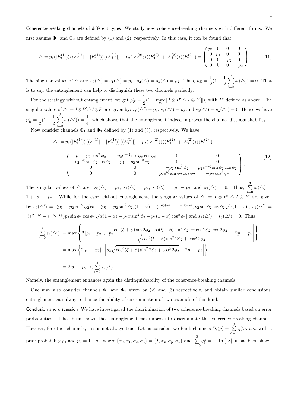Coherence-breaking channels of different types We study now coherence-breaking channels with different forms. We first assume  $\Phi_1$  and  $\Phi_2$  are defined by (1) and (2), respectively. In this case, it can be found that

$$
\triangle = p_1(|E_1^{(1)}\rangle)\langle\langle E_1^{(1)}| + |E_2^{(1)}\rangle\rangle\langle\langle E_2^{(1)}| \rangle - p_2(|E_1^{(2)}\rangle)\langle\langle E_1^{(2)}| + |E_2^{(2)}\rangle\rangle\langle\langle E_2^{(2)}| \rangle = \begin{pmatrix} p_1 & 0 & 0 & 0 \\ 0 & p_1 & 0 & 0 \\ 0 & 0 & -p_2 & 0 \\ 0 & 0 & 0 & -p_2 \end{pmatrix}.
$$
 (11)

The singular values of  $\triangle$  are:  $s_0(\triangle) = s_1(\triangle) = p_1$ ,  $s_2(\triangle) = s_3(\triangle) = p_2$ . Thus,  $p_E = \frac{1}{2}$  $\frac{1}{2}(1-\frac{1}{2})$ 2 ∑ 3 *i*=0  $s_i(\triangle)$ ) = 0. That is to say, the entanglement can help to distinguish these two channels perfectly.

For the strategy without entanglement, we get  $p'_{E} = \frac{1}{2}$  $\frac{1}{2}(1 - \max_{P'} ||I \otimes P' \triangle I \otimes P'||),$  with  $P'$  defined as above. The singular values of  $\triangle' = I \otimes P' \triangle I \otimes P'$  are given by:  $s_0(\triangle') = p_1$ ,  $s_1(\triangle') = p_2$  and  $s_2(\triangle') = s_3(\triangle') = 0$ . Hence we have  $p'_E = \frac{1}{2}$  $\frac{1}{2}(1-\frac{1}{2})$ 2 ∑ 3 *i*=0  $s_i(\Delta')$  =  $\frac{1}{4}$ , which shows that the entanglement indeed improves the channel distinguishability.

Now consider channels  $\Phi_1$  and  $\Phi_2$  defined by (1) and (3), respectively. We have

$$
\triangle = p_1(|E_1^{(1)}\rangle)\langle\langle E_1^{(1)}| + |E_2^{(1)}\rangle\rangle\langle\langle E_2^{(1)}| \rangle - p_2(|E_1^{(2)}\rangle)\langle\langle E_1^{(2)}| + |E_2^{(2)}\rangle\rangle\langle\langle E_2^{(2)}| \rangle
$$

$$
= \begin{pmatrix} p_1 - p_2 \cos^2 \phi_2 & -p_2 e^{-i\xi} \sin \phi_2 \cos \phi_2 & 0 & 0 \\ -p_2 e^{i\xi} \sin \phi_2 \cos \phi_2 & p_1 - p_2 \sin^2 \phi_2 & 0 & 0 \\ 0 & 0 & -p_2 \sin^2 \phi_2 & p_2 e^{-i\xi} \sin \phi_2 \cos \phi_2 \\ 0 & 0 & p_2 e^{i\xi} \sin \phi_2 \cos \phi_2 & -p_2 \cos^2 \phi_2 \end{pmatrix} .
$$
 (12)

The singular values of  $\triangle$  are:  $s_0(\triangle) = p_1$ ,  $s_1(\triangle) = p_2$ ,  $s_2(\triangle) = |p_1 - p_2|$  and  $s_3(\triangle) = 0$ . Thus,  $\sum^3$  $\sum_{i=0} s_i(\triangle) =$  $1 + |p_1 - p_2|$ . While for the case without entanglement, the singular values of  $\triangle' = I \otimes P' \triangle I \otimes P'$  are given by  $s_0(\Delta') = |(p_1 - p_2 \cos^2 \phi_2)x + (p_1 - p_2 \sin^2 \phi_2)(1 - x) - (e^{i\xi + i\phi} + e^{-i\xi - i\phi})p_2 \sin \phi_2 \cos \phi_2 \sqrt{x(1 - x)}|, s_1(\Delta') =$  $|(e^{i\xi+i\phi}+e^{-i\xi-i\phi})p_2\sin\phi_2\cos\phi_2\sqrt{x(1-x)}-p_2x\sin^2\phi_2-p_2(1-x)\cos^2\phi_2|$  and  $s_2(\Delta')=s_3(\Delta')=0$ . Thus

$$
\sum_{i=0}^{3} s_i(\Delta') = \max \left\{ 2 |p_1 - p_2|, \left| p_2 \frac{\cos(\xi + \phi) \sin 2\phi_2 |\cos(\xi + \phi) \sin 2\phi_2| \pm \cos 2\phi_2 |\cos 2\phi_2|}{\sqrt{\cos^2(\xi + \phi) \sin^2 2\phi_2 + \cos^2 2\phi_2}} - 2p_1 + p_2 \right| \right\}
$$
  
=  $\max \left\{ 2|p_1 - p_2|, \left| p_2 \sqrt{\cos^2(\xi + \phi) \sin^2 2\phi_2 + \cos^2 2\phi_2} - 2p_1 + p_2 \right| \right\}$   
=  $2|p_1 - p_2| < \sum_{i=0}^{3} s_i(\Delta)$ .

Namely, the entanglement enhances again the distinguishability of the coherence-breaking channels.

One may also consider channels  $\Phi_1$  and  $\Phi_2$  given by (2) and (3) respectively, and obtain similar conclusions: entanglement can always enhance the ability of discrimination of two channels of this kind.

Conclusion and discussion We have investigated the discrimination of two coherence-breaking channels based on error probabilities. It has been shown that entanglement can improve to discriminate the coherence-breaking channels. However, for other channels, this is not always true. Let us consider two Pauli channels  $\Phi_i(\rho) = \sum^3$  $\sum_{\alpha=0}$  *q*<sup>*a*</sup>*σ*<sub>*a*</sub>*ρσ*<sub>*a*</sub> with a prior probability  $p_1$  and  $p_2 = 1 - p_1$ , where  $\{\sigma_0, \sigma_1, \sigma_2, \sigma_3\} = \{I, \sigma_x, \sigma_y, \sigma_z\}$  and  $\sum^3$  $\sum_{\alpha=0} q_i^{\alpha} = 1$ . In [18], it has been shown